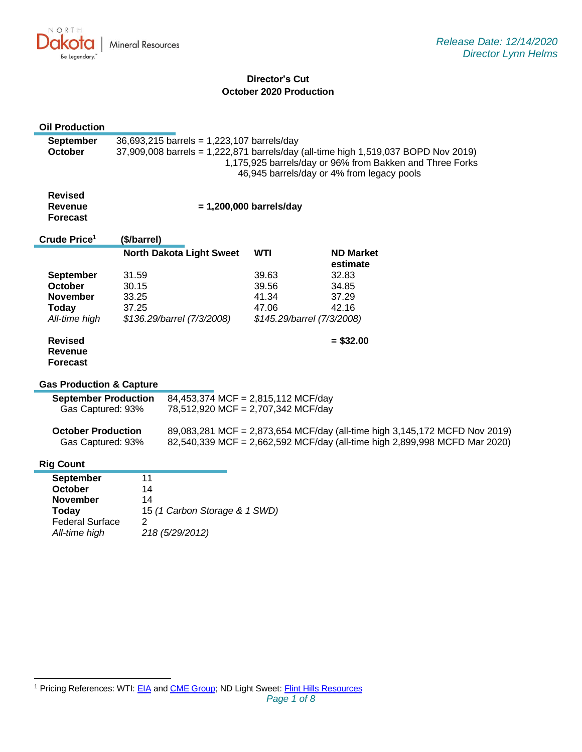

# **Director's Cut October 2020 Production**

| <b>Oil Production</b>                                             |                                                                                                                                                                                                                                            |                                    |            |                            |                                                                                                                                                          |
|-------------------------------------------------------------------|--------------------------------------------------------------------------------------------------------------------------------------------------------------------------------------------------------------------------------------------|------------------------------------|------------|----------------------------|----------------------------------------------------------------------------------------------------------------------------------------------------------|
| <b>September</b><br><b>October</b>                                | 36,693,215 barrels = 1,223,107 barrels/day<br>37,909,008 barrels = 1,222,871 barrels/day (all-time high 1,519,037 BOPD Nov 2019)<br>1,175,925 barrels/day or 96% from Bakken and Three Forks<br>46,945 barrels/day or 4% from legacy pools |                                    |            |                            |                                                                                                                                                          |
| <b>Revised</b><br>Revenue<br><b>Forecast</b>                      | $= 1,200,000$ barrels/day                                                                                                                                                                                                                  |                                    |            |                            |                                                                                                                                                          |
| Crude Price <sup>1</sup>                                          | (\$/barrel)                                                                                                                                                                                                                                |                                    |            |                            |                                                                                                                                                          |
|                                                                   |                                                                                                                                                                                                                                            | <b>North Dakota Light Sweet</b>    | <b>WTI</b> |                            | <b>ND Market</b>                                                                                                                                         |
|                                                                   |                                                                                                                                                                                                                                            |                                    |            |                            | estimate                                                                                                                                                 |
| <b>September</b>                                                  | 31.59                                                                                                                                                                                                                                      |                                    | 39.63      |                            | 32.83                                                                                                                                                    |
| October                                                           | 30.15                                                                                                                                                                                                                                      |                                    | 39.56      |                            | 34.85                                                                                                                                                    |
| <b>November</b>                                                   | 33.25                                                                                                                                                                                                                                      |                                    | 41.34      |                            | 37.29                                                                                                                                                    |
| <b>Today</b>                                                      | 37.25                                                                                                                                                                                                                                      |                                    | 47.06      |                            | 42.16                                                                                                                                                    |
| All-time high                                                     |                                                                                                                                                                                                                                            | \$136.29/barrel (7/3/2008)         |            | \$145.29/barrel (7/3/2008) |                                                                                                                                                          |
| <b>Revised</b><br><b>Revenue</b><br><b>Forecast</b>               |                                                                                                                                                                                                                                            |                                    |            |                            | $= $32.00$                                                                                                                                               |
| <b>Gas Production &amp; Capture</b>                               |                                                                                                                                                                                                                                            |                                    |            |                            |                                                                                                                                                          |
| <b>September Production</b><br>84,453,374 MCF = 2,815,112 MCF/day |                                                                                                                                                                                                                                            |                                    |            |                            |                                                                                                                                                          |
| Gas Captured: 93%                                                 |                                                                                                                                                                                                                                            | 78,512,920 MCF = 2,707,342 MCF/day |            |                            |                                                                                                                                                          |
| <b>October Production</b><br>Gas Captured: 93%                    |                                                                                                                                                                                                                                            |                                    |            |                            | 89,083,281 MCF = 2,873,654 MCF/day (all-time high 3,145,172 MCFD Nov 2019)<br>82,540,339 MCF = 2,662,592 MCF/day (all-time high 2,899,998 MCFD Mar 2020) |
| <b>Rig Count</b>                                                  |                                                                                                                                                                                                                                            |                                    |            |                            |                                                                                                                                                          |
| <b>September</b>                                                  | 11                                                                                                                                                                                                                                         |                                    |            |                            |                                                                                                                                                          |
| <b>October</b>                                                    | 14                                                                                                                                                                                                                                         |                                    |            |                            |                                                                                                                                                          |
| <b>November</b>                                                   | 14                                                                                                                                                                                                                                         |                                    |            |                            |                                                                                                                                                          |
| Today                                                             |                                                                                                                                                                                                                                            | 15 (1 Carbon Storage & 1 SWD)      |            |                            |                                                                                                                                                          |
| <b>Federal Surface</b>                                            | $\overline{2}$                                                                                                                                                                                                                             |                                    |            |                            |                                                                                                                                                          |
| All-time high                                                     |                                                                                                                                                                                                                                            | 218 (5/29/2012)                    |            |                            |                                                                                                                                                          |
|                                                                   |                                                                                                                                                                                                                                            |                                    |            |                            |                                                                                                                                                          |

<sup>&</sup>lt;sup>1</sup> Pricing References: WTI[: EIA](https://www.eia.gov/dnav/pet/hist/LeafHandler.ashx?n=PET&s=RCLC1&f=M) and [CME Group;](https://www.cmegroup.com/trading/energy/crude-oil/light-sweet-crude.html) ND Light Sweet: [Flint Hills Resources](https://www.fhr.com/products-services/fuels-and-aromatics)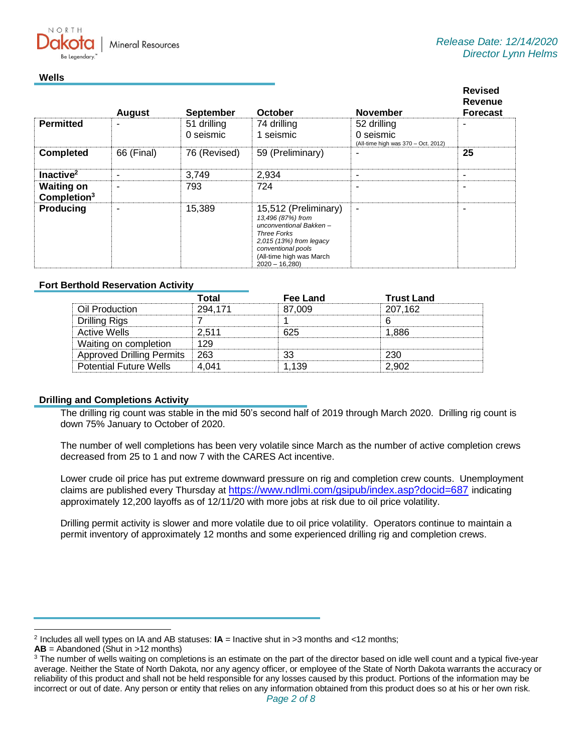

### **Wells**

|                                              | <b>August</b> | <b>September</b> | October                                                                                                                                                                                   | <b>November</b>                                  | <b>Revised</b><br><b>Revenue</b><br><b>Forecast</b> |
|----------------------------------------------|---------------|------------------|-------------------------------------------------------------------------------------------------------------------------------------------------------------------------------------------|--------------------------------------------------|-----------------------------------------------------|
| <b>Permitted</b>                             |               | 51 drilling      | 74 drilling                                                                                                                                                                               | 52 drilling                                      |                                                     |
|                                              |               | 0 seismic        | 1 seismic                                                                                                                                                                                 | 0 seismic<br>(All-time high was 370 - Oct. 2012) |                                                     |
| <b>Completed</b>                             | 66 (Final)    | 76 (Revised)     | 59 (Preliminary)                                                                                                                                                                          |                                                  | 25                                                  |
| Inactive <sup>2</sup>                        | ۰             | 3,749            | 2,934                                                                                                                                                                                     | ۰                                                |                                                     |
| <b>Waiting on</b><br>Completion <sup>3</sup> |               | 793              | 724                                                                                                                                                                                       | -                                                |                                                     |
| <b>Producing</b>                             | ۰             | 15,389           | 15,512 (Preliminary)<br>13,496 (87%) from<br>unconventional Bakken-<br><b>Three Forks</b><br>2,015 (13%) from legacy<br>conventional pools<br>(All-time high was March<br>$2020 - 16,280$ | ٠                                                |                                                     |

## **Fort Berthold Reservation Activity**

|                                  | Total   | Fee Land | <b>Trust Land</b> |
|----------------------------------|---------|----------|-------------------|
| Oil Production                   | 294.171 | 87.009   | 207,162           |
| Drilling Rigs                    |         |          |                   |
| Active Wells                     | 2.511   | 625      | 1.886             |
| Waiting on completion            | 129     |          |                   |
| <b>Approved Drilling Permits</b> | ⊟ 263   | າາ       | 230               |
| <b>Potential Future Wells</b>    | 4 (141  |          |                   |

### **Drilling and Completions Activity**

The drilling rig count was stable in the mid 50's second half of 2019 through March 2020. Drilling rig count is down 75% January to October of 2020.

The number of well completions has been very volatile since March as the number of active completion crews decreased from 25 to 1 and now 7 with the CARES Act incentive.

Lower crude oil price has put extreme downward pressure on rig and completion crew counts. Unemployment claims are published every Thursday at [https://www.ndlmi.com/gsipub/index.asp?docid=687](https://gcc02.safelinks.protection.outlook.com/?url=https%3A%2F%2Fwww.ndlmi.com%2Fgsipub%2Findex.asp%3Fdocid%3D687&data=04%7C01%7Ckahaarsager%40nd.gov%7C959dd823b09440378f9d08d8a04e131f%7C2dea0464da514a88bae2b3db94bc0c54%7C0%7C0%7C637435604472736812%7CUnknown%7CTWFpbGZsb3d8eyJWIjoiMC4wLjAwMDAiLCJQIjoiV2luMzIiLCJBTiI6Ik1haWwiLCJXVCI6Mn0%3D%7C1000&sdata=4scT8lmEZj15IwUIXnlnrvVQi2moqsEPFdH5kbq9jLI%3D&reserved=0) indicating approximately 12,200 layoffs as of 12/11/20 with more jobs at risk due to oil price volatility.

Drilling permit activity is slower and more volatile due to oil price volatility. Operators continue to maintain a permit inventory of approximately 12 months and some experienced drilling rig and completion crews.

<sup>2</sup> Includes all well types on IA and AB statuses: **IA** = Inactive shut in >3 months and <12 months;

**AB** = Abandoned (Shut in >12 months)

<sup>&</sup>lt;sup>3</sup> The number of wells waiting on completions is an estimate on the part of the director based on idle well count and a typical five-year average. Neither the State of North Dakota, nor any agency officer, or employee of the State of North Dakota warrants the accuracy or reliability of this product and shall not be held responsible for any losses caused by this product. Portions of the information may be incorrect or out of date. Any person or entity that relies on any information obtained from this product does so at his or her own risk.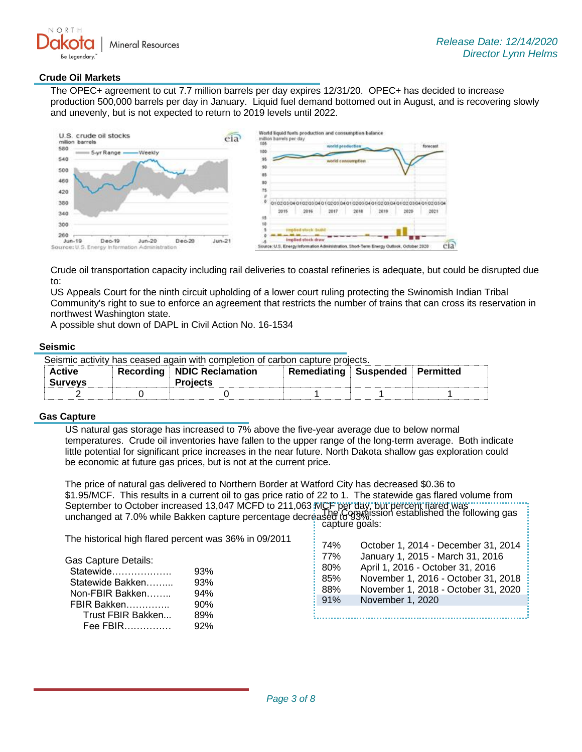

**.............** 

### **Crude Oil Markets**

The OPEC+ agreement to cut 7.7 million barrels per day expires 12/31/20. OPEC+ has decided to increase production 500,000 barrels per day in January. Liquid fuel demand bottomed out in August, and is recovering slowly and unevenly, but is not expected to return to 2019 levels until 2022.



Crude oil transportation capacity including rail deliveries to coastal refineries is adequate, but could be disrupted due to:

US Appeals Court for the ninth circuit upholding of a lower court ruling protecting the Swinomish Indian Tribal Community's right to sue to enforce an agreement that restricts the number of trains that can cross its reservation in northwest Washington state.

A possible shut down of DAPL in Civil Action No. 16-1534

#### **Seismic**

Seismic activity has ceased again with completion of carbon capture projects.

| Active<br><b>Surveys</b> | Recording | <b>NDIC Reclamation</b><br><b>Projects</b> | Remediating | Suspended | Permitted |  |
|--------------------------|-----------|--------------------------------------------|-------------|-----------|-----------|--|
|                          |           |                                            |             |           |           |  |

## **Gas Capture**

US natural gas storage has increased to 7% above the five-year average due to below normal temperatures. Crude oil inventories have fallen to the upper range of the long-term average. Both indicate little potential for significant price increases in the near future. North Dakota shallow gas exploration could be economic at future gas prices, but is not at the current price.

The price of natural gas delivered to Northern Border at Watford City has decreased \$0.36 to \$1.95/MCF. This results in a current oil to gas price ratio of 22 to 1. The statewide gas flared volume from September to October increased 13,047 MCFD to 211,063 MCF per day, but percent flared was unchanged at 7.0% while Bakken capture percentage decreased to 93%. The Commission established the following gas capture goals:

| The historical high flared percent was 36% in 09/2011                                                                             |                                        |                                        |                                                                                                                                                                                                               |
|-----------------------------------------------------------------------------------------------------------------------------------|----------------------------------------|----------------------------------------|---------------------------------------------------------------------------------------------------------------------------------------------------------------------------------------------------------------|
| <b>Gas Capture Details:</b><br>Statewide<br>Statewide Bakken<br>Non-FBIR Bakken<br>FBIR Bakken<br>Trust FBIR Bakken<br>$Fee$ FBIR | 93%<br>93%<br>94%<br>90%<br>89%<br>92% | 74%<br>77%<br>80%<br>85%<br>88%<br>91% | October 1, 2014 - December 31, 2014<br>January 1, 2015 - March 31, 2016<br>April 1, 2016 - October 31, 2016<br>November 1, 2016 - October 31, 2018<br>November 1, 2018 - October 31, 2020<br>November 1, 2020 |
|                                                                                                                                   |                                        |                                        |                                                                                                                                                                                                               |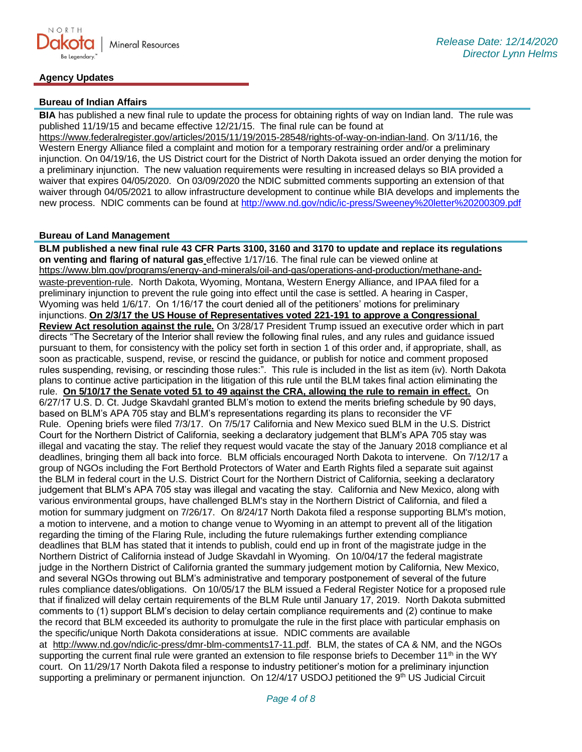## **Agency Updates**

### **Bureau of Indian Affairs**

**BIA** has published a new final rule to update the process for obtaining rights of way on Indian land. The rule was published 11/19/15 and became effective 12/21/15. The final rule can be found at [https://www.federalregister.gov/articles/2015/11/19/2015-28548/rights-of-way-on-indian-land.](https://gcc02.safelinks.protection.outlook.com/?url=https%3A%2F%2Fwww.federalregister.gov%2Farticles%2F2015%2F11%2F19%2F2015-28548%2Frights-of-way-on-indian-land&data=04%7C01%7Ckahaarsager%40nd.gov%7C959dd823b09440378f9d08d8a04e131f%7C2dea0464da514a88bae2b3db94bc0c54%7C0%7C0%7C637435604472746771%7CUnknown%7CTWFpbGZsb3d8eyJWIjoiMC4wLjAwMDAiLCJQIjoiV2luMzIiLCJBTiI6Ik1haWwiLCJXVCI6Mn0%3D%7C1000&sdata=%2FAmCV21bLrlEPzgIvlIPAd2IupriR%2FTfSKkBJmbIXpQ%3D&reserved=0) On 3/11/16, the Western Energy Alliance filed a complaint and motion for a temporary restraining order and/or a preliminary injunction. On 04/19/16, the US District court for the District of North Dakota issued an order denying the motion for a preliminary injunction. The new valuation requirements were resulting in increased delays so BIA provided a waiver that expires 04/05/2020. On 03/09/2020 the NDIC submitted comments supporting an extension of that waiver through 04/05/2021 to allow infrastructure development to continue while BIA develops and implements the new process. NDIC comments can be found at<http://www.nd.gov/ndic/ic-press/Sweeney%20letter%20200309.pdf>

## **Bureau of Land Management**

**BLM published a new final rule 43 CFR Parts 3100, 3160 and 3170 to update and replace its regulations on venting and flaring of natural gas** effective 1/17/16. The final rule can be viewed online at [https://www.blm.gov/programs/energy-and-minerals/oil-and-gas/operations-and-production/methane-and](https://gcc02.safelinks.protection.outlook.com/?url=https%3A%2F%2Fwww.blm.gov%2Fprograms%2Fenergy-and-minerals%2Foil-and-gas%2Foperations-and-production%2Fmethane-and-waste-prevention-rule&data=04%7C01%7Ckahaarsager%40nd.gov%7C959dd823b09440378f9d08d8a04e131f%7C2dea0464da514a88bae2b3db94bc0c54%7C0%7C0%7C637435604472746771%7CUnknown%7CTWFpbGZsb3d8eyJWIjoiMC4wLjAwMDAiLCJQIjoiV2luMzIiLCJBTiI6Ik1haWwiLCJXVCI6Mn0%3D%7C1000&sdata=8ZFvsBBpA79%2FhaJ9kGyH6bIF8s0fHWjRf5iVGQO8DgQ%3D&reserved=0)[waste-prevention-rule](https://gcc02.safelinks.protection.outlook.com/?url=https%3A%2F%2Fwww.blm.gov%2Fprograms%2Fenergy-and-minerals%2Foil-and-gas%2Foperations-and-production%2Fmethane-and-waste-prevention-rule&data=04%7C01%7Ckahaarsager%40nd.gov%7C959dd823b09440378f9d08d8a04e131f%7C2dea0464da514a88bae2b3db94bc0c54%7C0%7C0%7C637435604472746771%7CUnknown%7CTWFpbGZsb3d8eyJWIjoiMC4wLjAwMDAiLCJQIjoiV2luMzIiLCJBTiI6Ik1haWwiLCJXVCI6Mn0%3D%7C1000&sdata=8ZFvsBBpA79%2FhaJ9kGyH6bIF8s0fHWjRf5iVGQO8DgQ%3D&reserved=0). North Dakota, Wyoming, Montana, Western Energy Alliance, and IPAA filed for a preliminary injunction to prevent the rule going into effect until the case is settled. A hearing in Casper, Wyoming was held 1/6/17. On 1/16/17 the court denied all of the petitioners' motions for preliminary injunctions. **On 2/3/17 the US House of Representatives voted 221-191 to approve a Congressional Review Act resolution against the rule.** On 3/28/17 President Trump issued an executive order which in part directs "The Secretary of the Interior shall review the following final rules, and any rules and guidance issued pursuant to them, for consistency with the policy set forth in section 1 of this order and, if appropriate, shall, as soon as practicable, suspend, revise, or rescind the guidance, or publish for notice and comment proposed rules suspending, revising, or rescinding those rules:". This rule is included in the list as item (iv). North Dakota plans to continue active participation in the litigation of this rule until the BLM takes final action eliminating the rule. **On 5/10/17 the Senate voted 51 to 49 against the CRA, allowing the rule to remain in effect.** On 6/27/17 U.S. D. Ct. Judge Skavdahl granted BLM's motion to extend the merits briefing schedule by 90 days, based on BLM's APA 705 stay and BLM's representations regarding its plans to reconsider the VF Rule. Opening briefs were filed 7/3/17. On 7/5/17 California and New Mexico sued BLM in the U.S. District Court for the Northern District of California, seeking a declaratory judgement that BLM's APA 705 stay was illegal and vacating the stay. The relief they request would vacate the stay of the January 2018 compliance et al deadlines, bringing them all back into force. BLM officials encouraged North Dakota to intervene. On 7/12/17 a group of NGOs including the Fort Berthold Protectors of Water and Earth Rights filed a separate suit against the BLM in federal court in the U.S. District Court for the Northern District of California, seeking a declaratory judgement that BLM's APA 705 stay was illegal and vacating the stay. California and New Mexico, along with various environmental groups, have challenged BLM's stay in the Northern District of California, and filed a motion for summary judgment on 7/26/17. On 8/24/17 North Dakota filed a response supporting BLM's motion, a motion to intervene, and a motion to change venue to Wyoming in an attempt to prevent all of the litigation regarding the timing of the Flaring Rule, including the future rulemakings further extending compliance deadlines that BLM has stated that it intends to publish, could end up in front of the magistrate judge in the Northern District of California instead of Judge Skavdahl in Wyoming. On 10/04/17 the federal magistrate judge in the Northern District of California granted the summary judgement motion by California, New Mexico, and several NGOs throwing out BLM's administrative and temporary postponement of several of the future rules compliance dates/obligations. On 10/05/17 the BLM issued a Federal Register Notice for a proposed rule that if finalized will delay certain requirements of the BLM Rule until January 17, 2019. North Dakota submitted comments to (1) support BLM's decision to delay certain compliance requirements and (2) continue to make the record that BLM exceeded its authority to promulgate the rule in the first place with particular emphasis on the specific/unique North Dakota considerations at issue. NDIC comments are available at [http://www.nd.gov/ndic/ic-press/dmr-blm-comments17-11.pdf.](http://www.nd.gov/ndic/ic-press/dmr-blm-comments17-11.pdf) BLM, the states of CA & NM, and the NGOs supporting the current final rule were granted an extension to file response briefs to December 11<sup>th</sup> in the WY court. On 11/29/17 North Dakota filed a response to industry petitioner's motion for a preliminary injunction

supporting a preliminary or permanent injunction. On 12/4/17 USDOJ petitioned the 9<sup>th</sup> US Judicial Circuit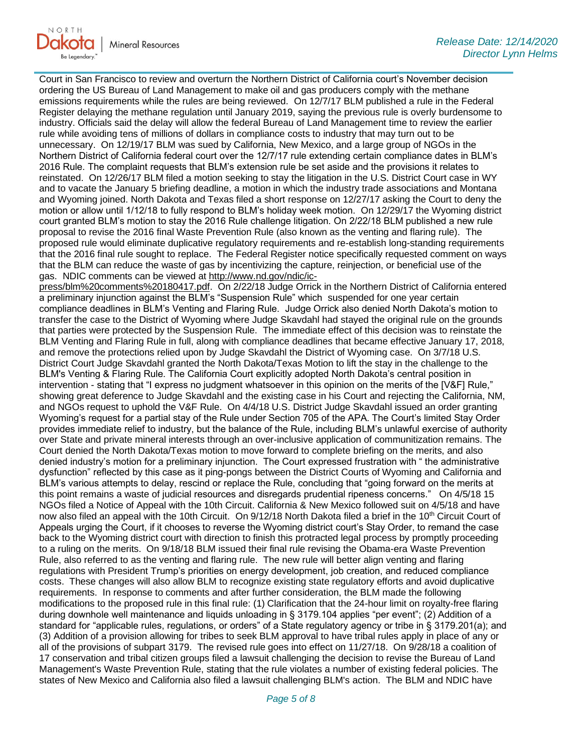Court in San Francisco to review and overturn the Northern District of California court's November decision ordering the US Bureau of Land Management to make oil and gas producers comply with the methane emissions requirements while the rules are being reviewed. On 12/7/17 BLM published a rule in the Federal Register delaying the methane regulation until January 2019, saying the previous rule is overly burdensome to industry. Officials said the delay will allow the federal Bureau of Land Management time to review the earlier rule while avoiding tens of millions of dollars in compliance costs to industry that may turn out to be unnecessary. On 12/19/17 BLM was sued by California, New Mexico, and a large group of NGOs in the Northern District of California federal court over the 12/7/17 rule extending certain compliance dates in BLM's 2016 Rule. The complaint requests that BLM's extension rule be set aside and the provisions it relates to reinstated. On 12/26/17 BLM filed a motion seeking to stay the litigation in the U.S. District Court case in WY and to vacate the January 5 briefing deadline, a motion in which the industry trade associations and Montana and Wyoming joined. North Dakota and Texas filed a short response on 12/27/17 asking the Court to deny the motion or allow until 1/12/18 to fully respond to BLM's holiday week motion. On 12/29/17 the Wyoming district court granted BLM's motion to stay the 2016 Rule challenge litigation. On 2/22/18 BLM published a new rule proposal to revise the 2016 final Waste Prevention Rule (also known as the venting and flaring rule). The proposed rule would eliminate duplicative regulatory requirements and re-establish long-standing requirements that the 2016 final rule sought to replace. The Federal Register notice specifically requested comment on ways that the BLM can reduce the waste of gas by incentivizing the capture, reinjection, or beneficial use of the gas. NDIC comments can be viewed at [http://www.nd.gov/ndic/ic-](http://www.nd.gov/ndic/ic-press/blm%20comments%20180417.pdf)

[press/blm%20comments%20180417.pdf.](http://www.nd.gov/ndic/ic-press/blm%20comments%20180417.pdf) On 2/22/18 Judge Orrick in the Northern District of California entered a preliminary injunction against the BLM's "Suspension Rule" which suspended for one year certain compliance deadlines in BLM's Venting and Flaring Rule. Judge Orrick also denied North Dakota's motion to transfer the case to the District of Wyoming where Judge Skavdahl had stayed the original rule on the grounds that parties were protected by the Suspension Rule. The immediate effect of this decision was to reinstate the BLM Venting and Flaring Rule in full, along with compliance deadlines that became effective January 17, 2018, and remove the protections relied upon by Judge Skavdahl the District of Wyoming case. On 3/7/18 U.S. District Court Judge Skavdahl granted the North Dakota/Texas Motion to lift the stay in the challenge to the BLM's Venting & Flaring Rule. The California Court explicitly adopted North Dakota's central position in intervention - stating that "I express no judgment whatsoever in this opinion on the merits of the [V&F] Rule," showing great deference to Judge Skavdahl and the existing case in his Court and rejecting the California, NM, and NGOs request to uphold the V&F Rule. On 4/4/18 U.S. District Judge Skavdahl issued an order granting Wyoming's request for a partial stay of the Rule under Section 705 of the APA. The Court's limited Stay Order provides immediate relief to industry, but the balance of the Rule, including BLM's unlawful exercise of authority over State and private mineral interests through an over-inclusive application of communitization remains. The Court denied the North Dakota/Texas motion to move forward to complete briefing on the merits, and also denied industry's motion for a preliminary injunction. The Court expressed frustration with " the administrative dysfunction" reflected by this case as it ping-pongs between the District Courts of Wyoming and California and BLM's various attempts to delay, rescind or replace the Rule, concluding that "going forward on the merits at this point remains a waste of judicial resources and disregards prudential ripeness concerns." On 4/5/18 15 NGOs filed a Notice of Appeal with the 10th Circuit. California & New Mexico followed suit on 4/5/18 and have now also filed an appeal with the 10th Circuit. On 9/12/18 North Dakota filed a brief in the 10<sup>th</sup> Circuit Court of Appeals urging the Court, if it chooses to reverse the Wyoming district court's Stay Order, to remand the case back to the Wyoming district court with direction to finish this protracted legal process by promptly proceeding to a ruling on the merits. On 9/18/18 BLM issued their final rule revising the Obama-era Waste Prevention Rule, also referred to as the venting and flaring rule. The new rule will better align venting and flaring regulations with President Trump's priorities on energy development, job creation, and reduced compliance costs. These changes will also allow BLM to recognize existing state regulatory efforts and avoid duplicative requirements. In response to comments and after further consideration, the BLM made the following modifications to the proposed rule in this final rule: (1) Clarification that the 24-hour limit on royalty-free flaring during downhole well maintenance and liquids unloading in § 3179.104 applies "per event"; (2) Addition of a standard for "applicable rules, regulations, or orders" of a State regulatory agency or tribe in § 3179.201(a); and (3) Addition of a provision allowing for tribes to seek BLM approval to have tribal rules apply in place of any or all of the provisions of subpart 3179. The revised rule goes into effect on 11/27/18. On 9/28/18 a coalition of 17 conservation and tribal citizen groups filed a lawsuit challenging the decision to revise the Bureau of Land Management's Waste Prevention Rule, stating that the rule violates a number of existing federal policies. The states of New Mexico and California also filed a lawsuit challenging BLM's action. The BLM and NDIC have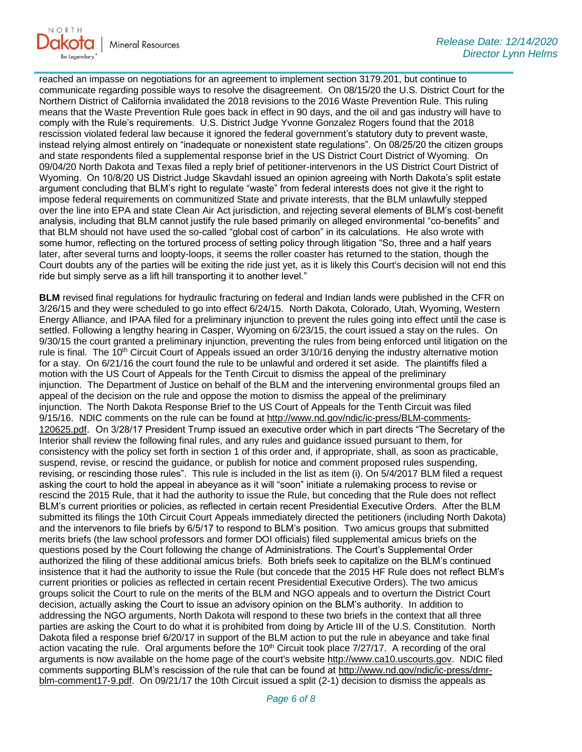

reached an impasse on negotiations for an agreement to implement section 3179.201, but continue to communicate regarding possible ways to resolve the disagreement. On 08/15/20 the U.S. District Court for the Northern District of California invalidated the 2018 revisions to the 2016 Waste Prevention Rule. This ruling means that the Waste Prevention Rule goes back in effect in 90 days, and the oil and gas industry will have to comply with the Rule's requirements. U.S. District Judge Yvonne Gonzalez Rogers found that the 2018 rescission violated federal law because it ignored the federal government's statutory duty to prevent waste, instead relying almost entirely on "inadequate or nonexistent state regulations". On 08/25/20 the citizen groups and state respondents filed a supplemental response brief in the US District Court District of Wyoming. On 09/04/20 North Dakota and Texas filed a reply brief of petitioner-intervenors in the US District Court District of Wyoming. On 10/8/20 US District Judge Skavdahl issued an opinion agreeing with North Dakota's split estate argument concluding that BLM's right to regulate "waste" from federal interests does not give it the right to impose federal requirements on communitized State and private interests, that the BLM unlawfully stepped over the line into EPA and state Clean Air Act jurisdiction, and rejecting several elements of BLM's cost-benefit analysis, including that BLM cannot justify the rule based primarily on alleged environmental "co-benefits" and that BLM should not have used the so-called "global cost of carbon" in its calculations. He also wrote with some humor, reflecting on the tortured process of setting policy through litigation "So, three and a half years later, after several turns and loopty-loops, it seems the roller coaster has returned to the station, though the Court doubts any of the parties will be exiting the ride just yet, as it is likely this Court's decision will not end this ride but simply serve as a lift hill transporting it to another level."

**BLM** revised final regulations for hydraulic fracturing on federal and Indian lands were published in the CFR on 3/26/15 and they were scheduled to go into effect 6/24/15. North Dakota, Colorado, Utah, Wyoming, Western Energy Alliance, and IPAA filed for a preliminary injunction to prevent the rules going into effect until the case is settled. Following a lengthy hearing in Casper, Wyoming on 6/23/15, the court issued a stay on the rules. On 9/30/15 the court granted a preliminary injunction, preventing the rules from being enforced until litigation on the rule is final. The 10<sup>th</sup> Circuit Court of Appeals issued an order 3/10/16 denying the industry alternative motion for a stay. On 6/21/16 the court found the rule to be unlawful and ordered it set aside. The plaintiffs filed a motion with the US Court of Appeals for the Tenth Circuit to dismiss the appeal of the preliminary injunction. The Department of Justice on behalf of the BLM and the intervening environmental groups filed an appeal of the decision on the rule and oppose the motion to dismiss the appeal of the preliminary injunction. The North Dakota Response Brief to the US Court of Appeals for the Tenth Circuit was filed 9/15/16. NDIC comments on the rule can be found at [http://www.nd.gov/ndic/ic-press/BLM-comments-](http://www.nd.gov/ndic/ic-press/BLM-comments-120625.pdf)[120625.pdf](http://www.nd.gov/ndic/ic-press/BLM-comments-120625.pdf). On 3/28/17 President Trump issued an executive order which in part directs "The Secretary of the Interior shall review the following final rules, and any rules and guidance issued pursuant to them, for consistency with the policy set forth in section 1 of this order and, if appropriate, shall, as soon as practicable, suspend, revise, or rescind the guidance, or publish for notice and comment proposed rules suspending, revising, or rescinding those rules". This rule is included in the list as item (i). On 5/4/2017 BLM filed a request asking the court to hold the appeal in abeyance as it will "soon" initiate a rulemaking process to revise or rescind the 2015 Rule, that it had the authority to issue the Rule, but conceding that the Rule does not reflect BLM's current priorities or policies, as reflected in certain recent Presidential Executive Orders. After the BLM submitted its filings the 10th Circuit Court Appeals immediately directed the petitioners (including North Dakota) and the intervenors to file briefs by 6/5/17 to respond to BLM's position. Two amicus groups that submitted merits briefs (the law school professors and former DOI officials) filed supplemental amicus briefs on the questions posed by the Court following the change of Administrations. The Court's Supplemental Order authorized the filing of these additional amicus briefs. Both briefs seek to capitalize on the BLM's continued insistence that it had the authority to issue the Rule (but concede that the 2015 HF Rule does not reflect BLM's current priorities or policies as reflected in certain recent Presidential Executive Orders). The two amicus groups solicit the Court to rule on the merits of the BLM and NGO appeals and to overturn the District Court decision, actually asking the Court to issue an advisory opinion on the BLM's authority. In addition to addressing the NGO arguments, North Dakota will respond to these two briefs in the context that all three parties are asking the Court to do what it is prohibited from doing by Article III of the U.S. Constitution. North Dakota filed a response brief 6/20/17 in support of the BLM action to put the rule in abeyance and take final action vacating the rule. Oral arguments before the  $10<sup>th</sup>$  Circuit took place 7/27/17. A recording of the oral arguments is now available on the home page of the court's website [http://www.ca10.uscourts.gov.](https://gcc02.safelinks.protection.outlook.com/?url=https%3A%2F%2Furldefense.proofpoint.com%2Fv2%2Furl%3Fu%3Dhttp-3A__www.ca10.uscourts.gov%26d%3DDwMGaQ%26c%3D2s2mvbfY0UoSKkl6_Ol9wg%26r%3D-wqsZnBxny594KY8HeElow%26m%3DUl_VtJUX6iW5pvHjCcBxUWtskC0F4Dhry3sPtcEHvCw%26s%3DlaRHiLDv5w8otcQWQjpn82WMieoB2AZ-Q4M1LFQPL5s%26e%3D&data=04%7C01%7Ckahaarsager%40nd.gov%7C959dd823b09440378f9d08d8a04e131f%7C2dea0464da514a88bae2b3db94bc0c54%7C0%7C0%7C637435604472756731%7CUnknown%7CTWFpbGZsb3d8eyJWIjoiMC4wLjAwMDAiLCJQIjoiV2luMzIiLCJBTiI6Ik1haWwiLCJXVCI6Mn0%3D%7C1000&sdata=7%2BaLUmE4oKWxMovh9u%2BYDjMcvU1dfPqk9%2Fy3jR2h164%3D&reserved=0) NDIC filed comments supporting BLM's rescission of the rule that can be found at [http://www.nd.gov/ndic/ic-press/dmr](http://www.nd.gov/ndic/ic-press/dmr-blm-comment17-9.pdf)[blm-comment17-9.pdf.](http://www.nd.gov/ndic/ic-press/dmr-blm-comment17-9.pdf) On 09/21/17 the 10th Circuit issued a split (2-1) decision to dismiss the appeals as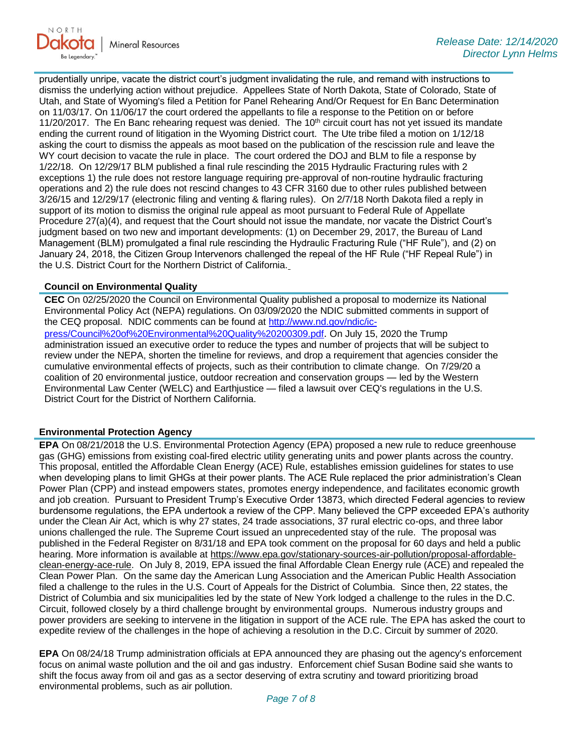

prudentially unripe, vacate the district court's judgment invalidating the rule, and remand with instructions to dismiss the underlying action without prejudice. Appellees State of North Dakota, State of Colorado, State of Utah, and State of Wyoming's filed a Petition for Panel Rehearing And/Or Request for En Banc Determination on 11/03/17. On 11/06/17 the court ordered the appellants to file a response to the Petition on or before 11/20/2017. The En Banc rehearing request was denied. The  $10<sup>th</sup>$  circuit court has not yet issued its mandate ending the current round of litigation in the Wyoming District court. The Ute tribe filed a motion on 1/12/18 asking the court to dismiss the appeals as moot based on the publication of the rescission rule and leave the WY court decision to vacate the rule in place. The court ordered the DOJ and BLM to file a response by 1/22/18. On 12/29/17 BLM published a final rule rescinding the 2015 Hydraulic Fracturing rules with 2 exceptions 1) the rule does not restore language requiring pre-approval of non-routine hydraulic fracturing operations and 2) the rule does not rescind changes to 43 CFR 3160 due to other rules published between 3/26/15 and 12/29/17 (electronic filing and venting & flaring rules). On 2/7/18 North Dakota filed a reply in support of its motion to dismiss the original rule appeal as moot pursuant to Federal Rule of Appellate Procedure 27(a)(4), and request that the Court should not issue the mandate, nor vacate the District Court's judgment based on two new and important developments: (1) on December 29, 2017, the Bureau of Land Management (BLM) promulgated a final rule rescinding the Hydraulic Fracturing Rule ("HF Rule"), and (2) on January 24, 2018, the Citizen Group Intervenors challenged the repeal of the HF Rule ("HF Repeal Rule") in the U.S. District Court for the Northern District of California.

### **Council on Environmental Quality**

**CEC** On 02/25/2020 the Council on Environmental Quality published a proposal to modernize its National Environmental Policy Act (NEPA) regulations. On 03/09/2020 the NDIC submitted comments in support of the CEQ proposal. NDIC comments can be found at [http://www.nd.gov/ndic/ic](http://www.nd.gov/ndic/ic-press/Council%20of%20Environmental%20Quality%20200309.pdf)[press/Council%20of%20Environmental%20Quality%20200309.pdf](http://www.nd.gov/ndic/ic-press/Council%20of%20Environmental%20Quality%20200309.pdf). On July 15, 2020 the Trump administration issued an executive order to reduce the types and number of projects that will be subject to review under the NEPA, shorten the timeline for reviews, and drop a requirement that agencies consider the cumulative environmental effects of projects, such as their contribution to climate change. On 7/29/20 a coalition of 20 environmental justice, outdoor recreation and conservation groups — led by the Western Environmental Law Center (WELC) and Earthjustice — filed a lawsuit over CEQ's regulations in the U.S. District Court for the District of Northern California.

#### **Environmental Protection Agency**

**EPA** On 08/21/2018 the U.S. Environmental Protection Agency (EPA) proposed a new rule to reduce greenhouse gas (GHG) emissions from existing coal-fired electric utility generating units and power plants across the country. This proposal, entitled the Affordable Clean Energy (ACE) Rule, establishes emission guidelines for states to use when developing plans to limit GHGs at their power plants. The ACE Rule replaced the prior administration's Clean Power Plan (CPP) and instead empowers states, promotes energy independence, and facilitates economic growth and job creation. Pursuant to President Trump's Executive Order 13873, which directed Federal agencies to review burdensome regulations, the EPA undertook a review of the CPP. Many believed the CPP exceeded EPA's authority under the Clean Air Act, which is why 27 states, 24 trade associations, 37 rural electric co-ops, and three labor unions challenged the rule. The Supreme Court issued an unprecedented stay of the rule. The proposal was published in the Federal Register on 8/31/18 and EPA took comment on the proposal for 60 days and held a public hearing. More information is available at [https://www.epa.gov/stationary-sources-air-pollution/proposal-affordable](https://gcc02.safelinks.protection.outlook.com/?url=https%3A%2F%2Fwww.epa.gov%2Fstationary-sources-air-pollution%2Fproposal-affordable-clean-energy-ace-rule&data=04%7C01%7Ckahaarsager%40nd.gov%7C959dd823b09440378f9d08d8a04e131f%7C2dea0464da514a88bae2b3db94bc0c54%7C0%7C0%7C637435604472756731%7CUnknown%7CTWFpbGZsb3d8eyJWIjoiMC4wLjAwMDAiLCJQIjoiV2luMzIiLCJBTiI6Ik1haWwiLCJXVCI6Mn0%3D%7C1000&sdata=VoaZIBAgo3fStdQUr%2B%2B3nsyDC3NyWGuDRdPiUmdcLOU%3D&reserved=0)[clean-energy-ace-rule.](https://gcc02.safelinks.protection.outlook.com/?url=https%3A%2F%2Fwww.epa.gov%2Fstationary-sources-air-pollution%2Fproposal-affordable-clean-energy-ace-rule&data=04%7C01%7Ckahaarsager%40nd.gov%7C959dd823b09440378f9d08d8a04e131f%7C2dea0464da514a88bae2b3db94bc0c54%7C0%7C0%7C637435604472756731%7CUnknown%7CTWFpbGZsb3d8eyJWIjoiMC4wLjAwMDAiLCJQIjoiV2luMzIiLCJBTiI6Ik1haWwiLCJXVCI6Mn0%3D%7C1000&sdata=VoaZIBAgo3fStdQUr%2B%2B3nsyDC3NyWGuDRdPiUmdcLOU%3D&reserved=0) On July 8, 2019, EPA issued the final Affordable Clean Energy rule (ACE) and repealed the Clean Power Plan. On the same day the American Lung Association and the American Public Health Association filed a challenge to the rules in the U.S. Court of Appeals for the District of Columbia. Since then, 22 states, the District of Columbia and six municipalities led by the state of New York lodged a challenge to the rules in the D.C. Circuit, followed closely by a third challenge brought by environmental groups. Numerous industry groups and power providers are seeking to intervene in the litigation in support of the ACE rule. The EPA has asked the court to expedite review of the challenges in the hope of achieving a resolution in the D.C. Circuit by summer of 2020.

**EPA** On 08/24/18 Trump administration officials at EPA announced they are phasing out the agency's enforcement focus on animal waste pollution and the oil and gas industry. Enforcement chief Susan Bodine said she wants to shift the focus away from oil and gas as a sector deserving of extra scrutiny and toward prioritizing broad environmental problems, such as air pollution.